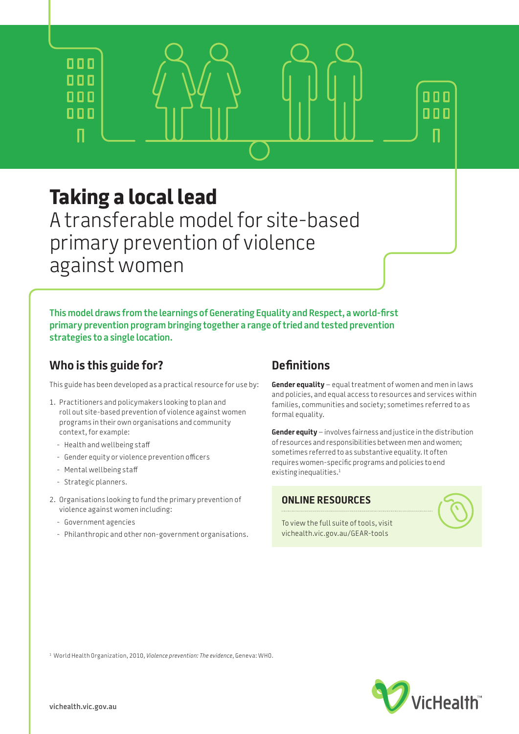# **Taking a local lead**

 $n n n$  $000$ 

000

000

Л

A transferable model for site-based primary prevention of violence against women

**This model draws from the learnings of Generating Equality and Respect, a world-first primary prevention program bringing together a range of tried and tested prevention strategies to a single location.**

# **Who is this guide for?**

This guide has been developed as a practical resource for use by:

- 1. Practitioners and policymakers looking to plan and roll out site-based prevention of violence against women programs in their own organisations and community context, for example:
	- Health and wellbeing staff
	- Gender equity or violence prevention officers
	- Mental wellbeing staff
	- Strategic planners.
- 2. Organisations looking to fund the primary prevention of violence against women including:
	- Government agencies
	- Philanthropic and other non-government organisations.

## **Definitions**

**Gender equality** – equal treatment of women and men in laws and policies, and equal access to resources and services within families, communities and society; sometimes referred to as formal equality.

**Gender equity** – involves fairness and justice in the distribution of resources and responsibilities between men and women; sometimes referred to as substantive equality. It often requires women-specific programs and policies to end existing inequalities.<sup>1</sup>

### **ONLINE RESOURCES**

 $000$ 

 $000$ 

To view the full suite of tools, visit [vichealth.vic.gov.au/GEAR-tools](http://www.vichealth.vic.gov.au/GEAR-tools)

**VicHealth**®

1 World Health Organization, 2010, *Violence prevention: The evidence*, Geneva: WHO.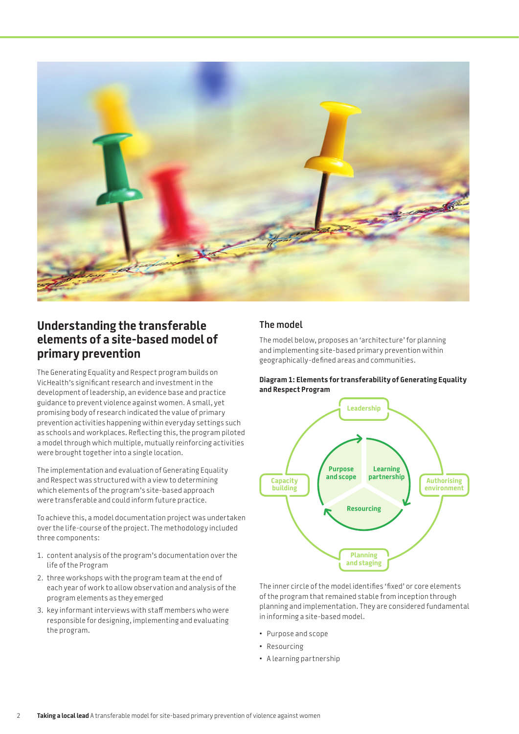

# **Understanding the transferable elements of a site-based model of primary prevention**

The Generating Equality and Respect program builds on VicHealth's significant research and investment in the development of leadership, an evidence base and practice guidance to prevent violence against women. A small, yet promising body of research indicated the value of primary prevention activities happening within everyday settings such as schools and workplaces. Reflecting this, the program piloted a model through which multiple, mutually reinforcing activities were brought together into a single location.

The implementation and evaluation of Generating Equality and Respect was structured with a view to determining which elements of the program's site-based approach were transferable and could inform future practice.

To achieve this, a model documentation project was undertaken over the life-course of the project. The methodology included three components:

- 1. content analysis of the program's documentation over the life of the Program
- 2. three workshops with the program team at the end of each year of work to allow observation and analysis of the program elements as they emerged
- 3. key informant interviews with staff members who were responsible for designing, implementing and evaluating the program.

### **The model**

The model below, proposes an 'architecture' for planning and implementing site-based primary prevention within geographically-defined areas and communities.

#### **Diagram 1: Elements for transferability of Generating Equality and Respect Program**



The inner circle of the model identifies 'fixed' or core elements of the program that remained stable from inception through planning and implementation. They are considered fundamental in informing a site-based model.

- Purpose and scope
- Resourcing
- A learning partnership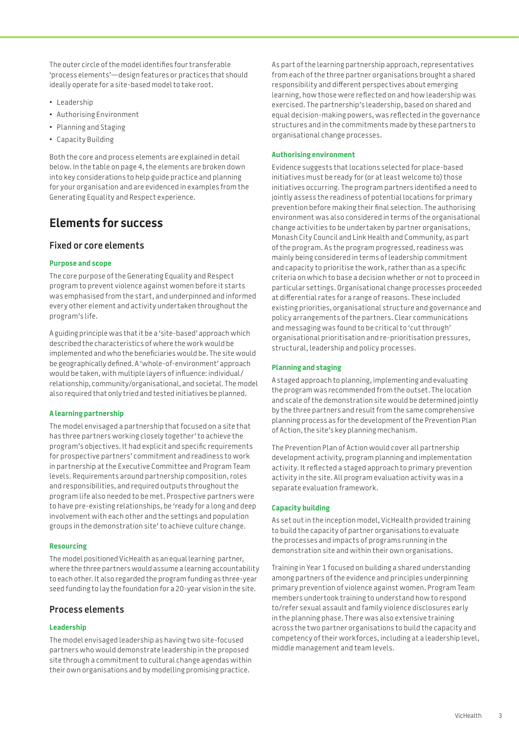The outer circle of the model identifies four transferable 'process elements'—design features or practices that should ideally operate for a site-based model to take root.

- Leadership
- Authorising Environment
- Planning and Staging
- Capacity Building

Both the core and process elements are explained in detail below. In the table on [page 4](#page-3-0), the elements are broken down into key considerations to help guide practice and planning for your organisation and are evidenced in examples from the Generating Equality and Respect experience.

# **Elements for success**

### **Fixed or core elements**

#### **Purpose and scope**

The core purpose of the Generating Equality and Respect program to prevent violence against women before it starts was emphasised from the start, and underpinned and informed every other element and activity undertaken throughout the program's life.

A guiding principle was that it be a 'site-based' approach which described the characteristics of where the work would be implemented and who the beneficiaries would be. The site would be geographically defined. A 'whole-of-environment' approach would be taken, with multiple layers of influence: individual/ relationship, community/organisational, and societal. The model also required that only tried and tested initiatives be planned.

#### **A learning partnership**

The model envisaged a partnership that focused on a site that has three partners working closely together' to achieve the program's objectives. It had explicit and specific requirements for prospective partners' commitment and readiness to work in partnership at the Executive Committee and Program Team levels. Requirements around partnership composition, roles and responsibilities, and required outputs throughout the program life also needed to be met. Prospective partners were to have pre-existing relationships, be 'ready for a long and deep involvement with each other and the settings and population groups in the demonstration site' to achieve culture change.

#### **Resourcing**

The model positioned VicHealth as an equal learning partner, where the three partners would assume a learning accountability to each other. It also regarded the program funding as three-year seed funding to lay the foundation for a 20-year vision in the site.

### **Process elements**

#### **Leadership**

The model envisaged leadership as having two site-focused partners who would demonstrate leadership in the proposed site through a commitment to cultural change agendas within their own organisations and by modelling promising practice.

As part of the learning partnership approach, representatives from each of the three partner organisations brought a shared responsibility and different perspectives about emerging learning, how those were reflected on and how leadership was exercised. The partnership's leadership, based on shared and equal decision-making powers, was reflected in the governance structures and in the commitments made by these partners to organisational change processes.

#### **Authorising environment**

Evidence suggests that locations selected for place-based initiatives must be ready for (or at least welcome to) those initiatives occurring. The program partners identified a need to jointly assess the readiness of potential locations for primary prevention before making their final selection. The authorising environment was also considered in terms of the organisational change activities to be undertaken by partner organisations, Monash City Council and Link Health and Community, as part of the program. As the program progressed, readiness was mainly being considered in terms of leadership commitment and capacity to prioritise the work, rather than as a specific criteria on which to base a decision whether or not to proceed in particular settings. Organisational change processes proceeded at differential rates for a range of reasons. These included existing priorities, organisational structure and governance and policy arrangements of the partners. Clear communications and messaging was found to be critical to 'cut through' organisational prioritisation and re-prioritisation pressures, structural, leadership and policy processes.

#### **Planning and staging**

A staged approach to planning, implementing and evaluating the program was recommended from the outset. The location and scale of the demonstration site would be determined jointly by the three partners and result from the same comprehensive planning process as for the development of the Prevention Plan of Action, the site's key planning mechanism.

The Prevention Plan of Action would cover all partnership development activity, program planning and implementation activity. It reflected a staged approach to primary prevention activity in the site. All program evaluation activity was in a separate evaluation framework.

#### **Capacity building**

As set out in the inception model, VicHealth provided training to build the capacity of partner organisations to evaluate the processes and impacts of programs running in the demonstration site and within their own organisations.

Training in Year 1 focused on building a shared understanding among partners of the evidence and principles underpinning primary prevention of violence against women. Program Team members undertook training to understand how to respond to/refer sexual assault and family violence disclosures early in the planning phase. There was also extensive training across the two partner organisations to build the capacity and competency of their workforces, including at a leadership level, middle management and team levels.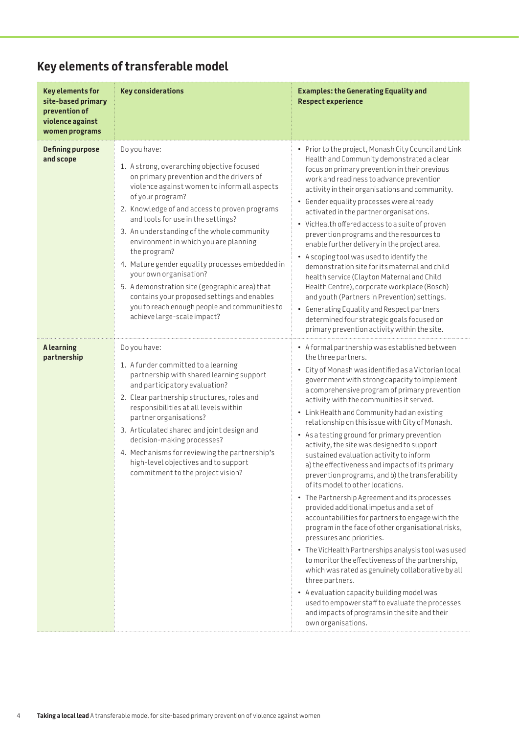# <span id="page-3-0"></span>**Key elements of transferable model**

| <b>Key elements for</b><br>site-based primary<br>prevention of<br>violence against<br>women programs | <b>Key considerations</b>                                                                                                                                                                                                                                                                                                                                                                                                                                                                                                                                                                                                              | <b>Examples: the Generating Equality and</b><br><b>Respect experience</b>                                                                                                                                                                                                                                                                                                                                                                                                                                                                                                                                                                                                                                                                                                                                                                                                                                                                                                                                                                                                                                                                                                                                                                                      |
|------------------------------------------------------------------------------------------------------|----------------------------------------------------------------------------------------------------------------------------------------------------------------------------------------------------------------------------------------------------------------------------------------------------------------------------------------------------------------------------------------------------------------------------------------------------------------------------------------------------------------------------------------------------------------------------------------------------------------------------------------|----------------------------------------------------------------------------------------------------------------------------------------------------------------------------------------------------------------------------------------------------------------------------------------------------------------------------------------------------------------------------------------------------------------------------------------------------------------------------------------------------------------------------------------------------------------------------------------------------------------------------------------------------------------------------------------------------------------------------------------------------------------------------------------------------------------------------------------------------------------------------------------------------------------------------------------------------------------------------------------------------------------------------------------------------------------------------------------------------------------------------------------------------------------------------------------------------------------------------------------------------------------|
| <b>Defining purpose</b><br>and scope                                                                 | Do you have:<br>1. A strong, overarching objective focused<br>on primary prevention and the drivers of<br>violence against women to inform all aspects<br>of your program?<br>2. Knowledge of and access to proven programs<br>and tools for use in the settings?<br>3. An understanding of the whole community<br>environment in which you are planning<br>the program?<br>4. Mature gender equality processes embedded in<br>your own organisation?<br>5. A demonstration site (geographic area) that<br>contains your proposed settings and enables<br>you to reach enough people and communities to<br>achieve large-scale impact? | • Prior to the project, Monash City Council and Link<br>Health and Community demonstrated a clear<br>focus on primary prevention in their previous<br>work and readiness to advance prevention<br>activity in their organisations and community.<br>• Gender equality processes were already<br>activated in the partner organisations.<br>• VicHealth offered access to a suite of proven<br>prevention programs and the resources to<br>enable further delivery in the project area.<br>• A scoping tool was used to identify the<br>demonstration site for its maternal and child<br>health service (Clayton Maternal and Child<br>Health Centre), corporate workplace (Bosch)<br>and youth (Partners in Prevention) settings.<br>• Generating Equality and Respect partners<br>determined four strategic goals focused on<br>primary prevention activity within the site.                                                                                                                                                                                                                                                                                                                                                                                  |
| <b>Alearning</b><br>partnership                                                                      | Do you have:<br>1. A funder committed to a learning<br>partnership with shared learning support<br>and participatory evaluation?<br>2. Clear partnership structures, roles and<br>responsibilities at all levels within<br>partner organisations?<br>3. Articulated shared and joint design and<br>decision-making processes?<br>4. Mechanisms for reviewing the partnership's<br>high-level objectives and to support<br>commitment to the project vision?                                                                                                                                                                            | • A formal partnership was established between<br>the three partners.<br>• City of Monash was identified as a Victorian local<br>government with strong capacity to implement<br>a comprehensive program of primary prevention<br>activity with the communities it served.<br>• Link Health and Community had an existing<br>relationship on this issue with City of Monash.<br>• As a testing ground for primary prevention<br>activity, the site was designed to support<br>sustained evaluation activity to inform<br>a) the effectiveness and impacts of its primary<br>prevention programs, and b) the transferability<br>of its model to other locations.<br>• The Partnership Agreement and its processes<br>provided additional impetus and a set of<br>accountabilities for partners to engage with the<br>program in the face of other organisational risks,<br>pressures and priorities.<br>• The VicHealth Partnerships analysis tool was used<br>to monitor the effectiveness of the partnership,<br>which was rated as genuinely collaborative by all<br>three partners.<br>• A evaluation capacity building model was<br>used to empower staff to evaluate the processes<br>and impacts of programs in the site and their<br>own organisations. |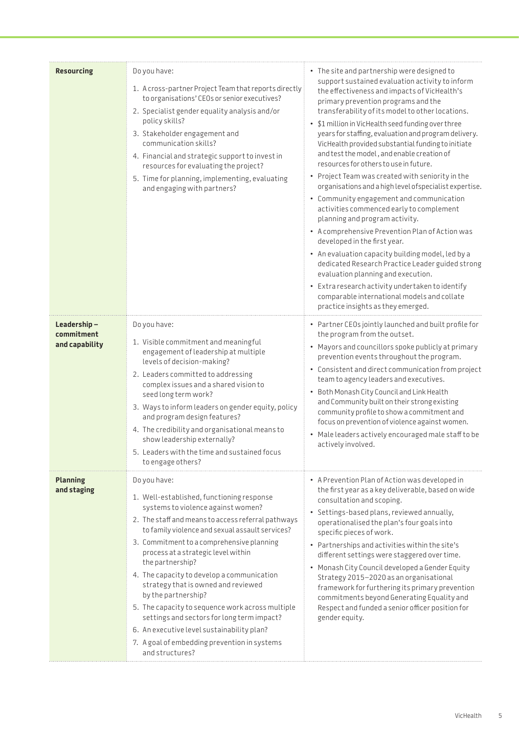| <b>Resourcing</b>                           | Do you have:<br>1. A cross-partner Project Team that reports directly<br>to organisations' CEOs or senior executives?<br>2. Specialist gender equality analysis and/or<br>policy skills?<br>3. Stakeholder engagement and<br>communication skills?<br>4. Financial and strategic support to invest in<br>resources for evaluating the project?<br>5. Time for planning, implementing, evaluating<br>and engaging with partners?                                                                                                                                                                                                                 | • The site and partnership were designed to<br>support sustained evaluation activity to inform<br>the effectiveness and impacts of VicHealth's<br>primary prevention programs and the<br>transferability of its model to other locations.<br>• \$1 million in VicHealth seed funding over three<br>years for staffing, evaluation and program delivery.<br>VicHealth provided substantial funding to initiate<br>and test the model, and enable creation of<br>resources for others to use in future.<br>• Project Team was created with seniority in the<br>organisations and a high level of specialist expertise.<br>• Community engagement and communication<br>activities commenced early to complement<br>planning and program activity.<br>• A comprehensive Prevention Plan of Action was<br>developed in the first year.<br>• An evaluation capacity building model, led by a<br>dedicated Research Practice Leader guided strong<br>evaluation planning and execution.<br>• Extra research activity undertaken to identify<br>comparable international models and collate<br>practice insights as they emerged. |
|---------------------------------------------|-------------------------------------------------------------------------------------------------------------------------------------------------------------------------------------------------------------------------------------------------------------------------------------------------------------------------------------------------------------------------------------------------------------------------------------------------------------------------------------------------------------------------------------------------------------------------------------------------------------------------------------------------|---------------------------------------------------------------------------------------------------------------------------------------------------------------------------------------------------------------------------------------------------------------------------------------------------------------------------------------------------------------------------------------------------------------------------------------------------------------------------------------------------------------------------------------------------------------------------------------------------------------------------------------------------------------------------------------------------------------------------------------------------------------------------------------------------------------------------------------------------------------------------------------------------------------------------------------------------------------------------------------------------------------------------------------------------------------------------------------------------------------------------|
| Leadership-<br>commitment<br>and capability | Do you have:<br>1. Visible commitment and meaningful<br>engagement of leadership at multiple<br>levels of decision-making?<br>2. Leaders committed to addressing<br>complex issues and a shared vision to<br>seed long term work?<br>3. Ways to inform leaders on gender equity, policy<br>and program design features?<br>4. The credibility and organisational means to<br>show leadership externally?<br>5. Leaders with the time and sustained focus<br>to engage others?                                                                                                                                                                   | • Partner CEOs jointly launched and built profile for<br>the program from the outset.<br>• Mayors and councillors spoke publicly at primary<br>prevention events throughout the program.<br>• Consistent and direct communication from project<br>team to agency leaders and executives.<br>• Both Monash City Council and Link Health<br>and Community built on their strong existing<br>community profile to show a commitment and<br>focus on prevention of violence against women.<br>• Male leaders actively encouraged male staff to be<br>actively involved.                                                                                                                                                                                                                                                                                                                                                                                                                                                                                                                                                       |
| <b>Planning</b><br>and staging              | Do you have:<br>1. Well-established, functioning response<br>systems to violence against women?<br>2. The staff and means to access referral pathways<br>to family violence and sexual assault services?<br>3. Commitment to a comprehensive planning<br>process at a strategic level within<br>the partnership?<br>4. The capacity to develop a communication<br>strategy that is owned and reviewed<br>by the partnership?<br>5. The capacity to sequence work across multiple<br>settings and sectors for long term impact?<br>6. An executive level sustainability plan?<br>7. A goal of embedding prevention in systems<br>and structures? | • A Prevention Plan of Action was developed in<br>the first year as a key deliverable, based on wide<br>consultation and scoping.<br>• Settings-based plans, reviewed annually,<br>operationalised the plan's four goals into<br>specific pieces of work.<br>• Partnerships and activities within the site's<br>different settings were staggered over time.<br>• Monash City Council developed a Gender Equity<br>Strategy 2015-2020 as an organisational<br>framework for furthering its primary prevention<br>commitments beyond Generating Equality and<br>Respect and funded a senior officer position for<br>gender equity.                                                                                                                                                                                                                                                                                                                                                                                                                                                                                         |